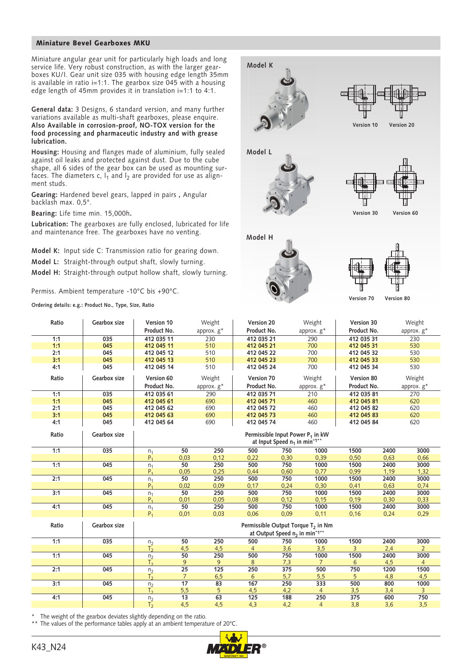## Miniature Bevel Gearboxes MKU

Miniature angular gear unit for particularly high loads and long service life. Very robust construction, as with the larger gearboxes KU/I. Gear unit size 035 with housing edge length 35mm is available in ratio i=1:1. The gearbox size 045 with a housing edge length of 45mm provides it in translation i=1:1 to 4:1.

**General data:** 3 Designs, 6 standard version, and many further variations available as multi-shaft gearboxes, please enquire. **Also Available in corrosion-proof, NO-TOX version for the food processing and pharmaceutic industry and with grease lubrication.**

**Housing:** Housing and flanges made of aluminium, fully sealed against oil leaks and protected against dust. Due to the cube shape, all 6 sides of the gear box can be used as mounting surfaces. The diameters c,  $I_1$  and  $I_2$  are provided for use as alignment studs.

**Gearing:** Hardened bevel gears, lapped in pairs **,** Angular backlash max. 0,5°.

**Bearing:** Life time min. 15,000h**.**

**Lubrication:** The gearboxes are fully enclosed, lubricated for life and maintenance free. The gearboxes have no venting.

**Model K:** Input side C: Transmission ratio for gearing down.

**Model L:** Straight-through output shaft, slowly turning.

**Model H:** Straight-through output hollow shaft, slowly turning.

Permiss. Ambient temperature -10°C bis +90°C.

**Ordering details: e.g.: Product No., Type, Size, Ratio**



| Ratio | Gearbox size | Version 10                                                                                              |                 | Weight           | Version 20  |                  | Weight         | Version 30  |      | Weight         |
|-------|--------------|---------------------------------------------------------------------------------------------------------|-----------------|------------------|-------------|------------------|----------------|-------------|------|----------------|
|       |              | Product No.                                                                                             |                 | approx. g*       | Product No. |                  | approx. g*     | Product No. |      | approx. g*     |
| 1:1   | 035          | 412 035 11                                                                                              |                 | 230              | 412 035 21  |                  | 290            | 412 035 31  |      | 230            |
| 1:1   | 045          | 412 045 11                                                                                              |                 | 510              | 412 045 21  |                  | 700            | 412 045 31  |      | 530            |
| 2:1   | 045          | 412 045 12                                                                                              |                 | 510              | 412 045 22  |                  | 700            | 412 045 32  |      | 530            |
| 3:1   | 045          | 412 045 13                                                                                              |                 | 510              | 412 045 23  |                  | 700            | 412 045 33  |      | 530            |
| 4:1   | 045          | 412 045 14                                                                                              |                 | 510              | 412 045 24  |                  | 700            | 412 045 34  |      | 530            |
| Ratio | Gearbox size | Version 60                                                                                              |                 | Weight           | Version 70  |                  | Weight         | Version 80  |      | Weight         |
|       |              | Product No.                                                                                             |                 | approx. $g^*$    | Product No. |                  | approx. g*     | Product No. |      | approx. $g^*$  |
| 1:1   | 035          | 412 035 61                                                                                              |                 | 290              | 412 035 71  |                  | 210            | 412 035 81  |      | 270            |
| 1:1   | 045          | 412 045 61                                                                                              |                 | 690              | 412 045 71  |                  | 460            | 412 045 81  |      | 620            |
| 2:1   | 045          | 412 045 62                                                                                              |                 | 690              | 412 045 72  |                  | 460            | 412 045 82  |      | 620            |
| 3:1   | 045          | 412 045 63                                                                                              |                 | 690              | 412 045 73  |                  | 460            | 412 045 83  |      | 620            |
| 4:1   | 045          | 412 045 64                                                                                              |                 | 690              | 412 045 74  |                  | 460            | 412 045 84  |      | 620            |
| Ratio | Gearbox size | Permissible Input Power P <sub>1</sub> in kW<br>at Input Speed $n_1$ in min <sup>-1**</sup>             |                 |                  |             |                  |                |             |      |                |
| 1:1   | 035          | $n_1$                                                                                                   | 50              | 250              | 500         | 750              | 1000           | 1500        | 2400 | 3000           |
|       |              | $P_1$                                                                                                   | 0,03            | 0,12             | 0,22        | 0,30             | 0.39           | 0,50        | 0,63 | 0.66           |
| 1:1   | 045          | $n_1$                                                                                                   | 50              | 250              | 500         | 750              | 1000           | 1500        | 2400 | 3000           |
|       |              | P <sub>1</sub>                                                                                          | 0,05            | 0.25             | 0.44        | 0,60             | 0.77           | 0.99        | 1,19 | 1,32           |
| 2:1   | 045          | n <sub>1</sub>                                                                                          | 50              | 250              | 500         | 750              | 1000           | 1500        | 2400 | 3000           |
|       |              | $P_1$                                                                                                   | 0,02            | 0,09             | 0,17        | 0,24             | 0,30           | 0,41        | 0,63 | 0,74           |
| 3:1   | 045          | n <sub>1</sub>                                                                                          | 50              | 250              | 500         | 750              | 1000           | 1500        | 2400 | 3000           |
|       |              | $P_1$                                                                                                   | 0,01            | 0,05             | 0.08        | 0,12             | 0,15           | 0,19        | 0,30 | 0.33           |
| 4:1   | 045          | n <sub>1</sub>                                                                                          | 50              | 250              | 500         | 750              | 1000           | 1500        | 2400 | 3000           |
|       |              | $P_1$                                                                                                   | 0,01            | 0,03             | 0,06        | 0,09             | 0,11           | 0,16        | 0,24 | 0,29           |
| Ratio | Gearbox size | Permissible Output Torque T <sub>2</sub> in Nm<br>at Output Speed n <sub>2</sub> in min <sup>-1**</sup> |                 |                  |             |                  |                |             |      |                |
| 1:1   | 035          | $\frac{n_2}{T_2}$                                                                                       | 50              | 250              | 500         | 750              | 1000           | 1500        | 2400 | 3000           |
|       |              |                                                                                                         | 4,5             | 4,5              |             | 3,6              | 3,5            | 3           | 2,4  | $\mathbf{2}$   |
| 1:1   | 045          | n <sub>2</sub>                                                                                          | 50              | 250              | 500         | 750              | 1000           | 1500        | 2400 | 3000           |
|       |              | T <sub>2</sub>                                                                                          | 9               | 9                | 8           | 7,3              | $\overline{7}$ | 6           | 4,5  | $\overline{4}$ |
| 2:1   | 045          | n <sub>2</sub>                                                                                          | $\overline{25}$ | $\overline{125}$ | 250         | $\overline{375}$ | 500            | 750         | 1200 | 1500           |
|       |              | T <sub>2</sub>                                                                                          | $\overline{7}$  | 6,5              | 6           | 5,7              | 5,5            | 5           | 4,8  | 4,5            |
| 3:1   | 045          | $\frac{n_2}{T_2}$                                                                                       | $\overline{17}$ | 83               | 167         | 250              | 333            | 500         | 800  | 1000           |
|       |              |                                                                                                         | 5,5             | 5                | 4,5         | 4,2              | $\overline{4}$ | 3,5         | 3,4  | 3              |
| 4:1   | 045          | $n_2$<br>$T_2$                                                                                          | 13              | 63               | 125         | 188              | 250            | 375         | 600  | 750            |
|       |              |                                                                                                         | 4,5             | 4,5              | 4,3         | 4,2              | $\overline{4}$ | 3,8         | 3,6  | 3,5            |

The weight of the gearbox deviates slightly depending on the ratio.

\*\* The values of the performance tables apply at an ambient temperature of 20°C.